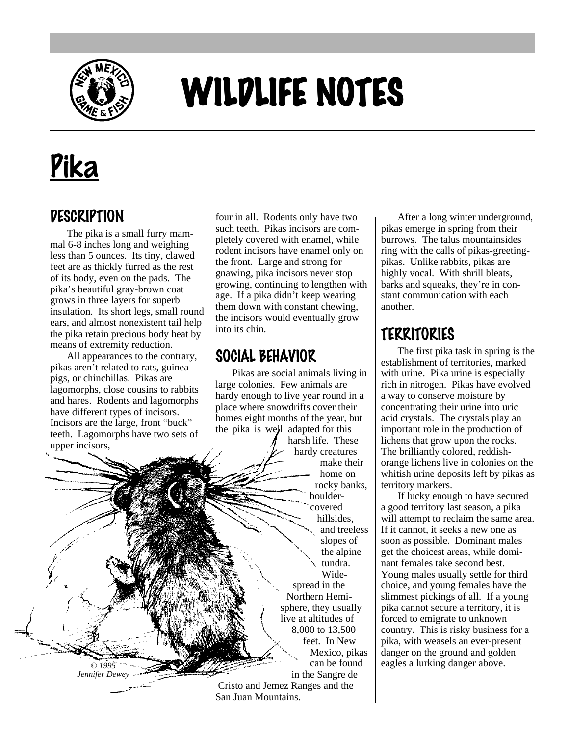

# WILDLIFE NOTES

# Pika

#### **DESCRIPTION**

The pika is a small furry mammal 6-8 inches long and weighing less than 5 ounces. Its tiny, clawed feet are as thickly furred as the rest of its body, even on the pads. The pika's beautiful gray-brown coat grows in three layers for superb insulation. Its short legs, small round ears, and almost nonexistent tail help the pika retain precious body heat by means of extremity reduction.

All appearances to the contrary, pikas aren't related to rats, guinea pigs, or chinchillas. Pikas are lagomorphs, close cousins to rabbits and hares. Rodents and lagomorphs have different types of incisors. Incisors are the large, front "buck" teeth. Lagomorphs have two sets of four in all. Rodents only have two such teeth. Pikas incisors are completely covered with enamel, while rodent incisors have enamel only on the front. Large and strong for gnawing, pika incisors never stop growing, continuing to lengthen with age. If a pika didn't keep wearing them down with constant chewing, the incisors would eventually grow into its chin.

### SOCIAL BEHAVIOR

San Juan Mountains.

Pikas are social animals living in large colonies. Few animals are hardy enough to live year round in a place where snowdrifts cover their homes eight months of the year, but the pika is well adapted for this



After a long winter underground, pikas emerge in spring from their burrows. The talus mountainsides ring with the calls of pikas-greetingpikas. Unlike rabbits, pikas are highly vocal. With shrill bleats, barks and squeaks, they're in constant communication with each another.

## TERRITORIES

The first pika task in spring is the establishment of territories, marked with urine. Pika urine is especially rich in nitrogen. Pikas have evolved a way to conserve moisture by concentrating their urine into uric acid crystals. The crystals play an important role in the production of lichens that grow upon the rocks. The brilliantly colored, reddishorange lichens live in colonies on the whitish urine deposits left by pikas as territory markers.

If lucky enough to have secured a good territory last season, a pika will attempt to reclaim the same area. If it cannot, it seeks a new one as soon as possible. Dominant males get the choicest areas, while dominant females take second best. Young males usually settle for third choice, and young females have the slimmest pickings of all. If a young pika cannot secure a territory, it is forced to emigrate to unknown country. This is risky business for a pika, with weasels an ever-present danger on the ground and golden